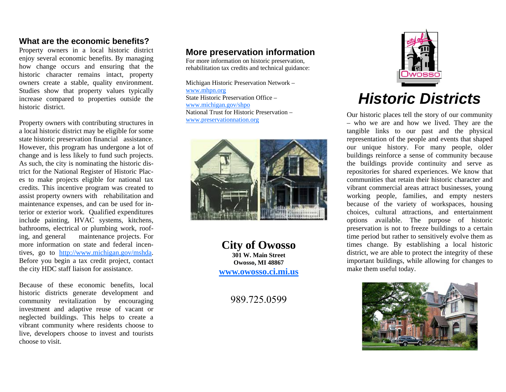## **What are the economic benefits?**

Property owners in a local historic district enjoy several economic benefits. By managing how change occurs and ensuring that the historic character remains intact, property owners create a stable, quality environment. Studies show that property values typically increase compared to properties outside the historic district.

Property owners with contributing structures in a local historic district may be eligible for some state historic preservation financial assistance. However, this program has undergone a lot of change and is less likely to fund such projects. As such, the city is nominating the historic district for the National Register of Historic Places to make projects eligible for national tax credits. This incentive program was created to assist property owners with rehabilitation and maintenance expenses, and can be used for interior or exterior work. Qualified expenditures include painting, HVAC systems, kitchens, bathrooms, electrical or plumbing work, roofing, and general maintenance projects. For more information on state and federal incentives, go to http://www.michigan.gov/mshda. Before you begin a tax credit project, contact the city HDC staff liaison for assistance.

Because of these economic benefits, local historic districts generate development and community revitalization by encouraging investment and adaptive reuse of vacant or neglected buildings. This helps to create a vibrant community where residents choose to live, developers choose to invest and tourists choose to visit.

# **More preservation information**

For more information on historic preservation, rehabilitation tax credits and technical guidance:

Michigan Historic Preservation Network – www.mhpn.org State Historic Preservation Office – www.michigan.gov/shpo National Trust for Historic Preservation – www.preservationnation.org



**City of Owosso 301 W. Main Street Owosso, MI 48867 www.owosso.ci.mi.us**

989.725.0599



# *Historic Districts*

Our historic places tell the story of our community – who we are and how we lived. They are the tangible links to our past and the physical representation of the people and events that shaped our unique history. For many people, older buildings reinforce a sense of community because the buildings provide continuity and serve as repositories for shared experiences. We know that communities that retain their historic character andvibrant commercial areas attract businesses, young working people, families, and empty nesters because of the variety of workspaces, housing choices, cultural attractions, and entertainment options available. The purpose of historic preservation is not to freeze buildings to a certain time period but rather to sensitively evolve them as times change. By establishing a local historic district, we are able to protect the integrity of these important buildings, while allowing for changes to make them useful today.